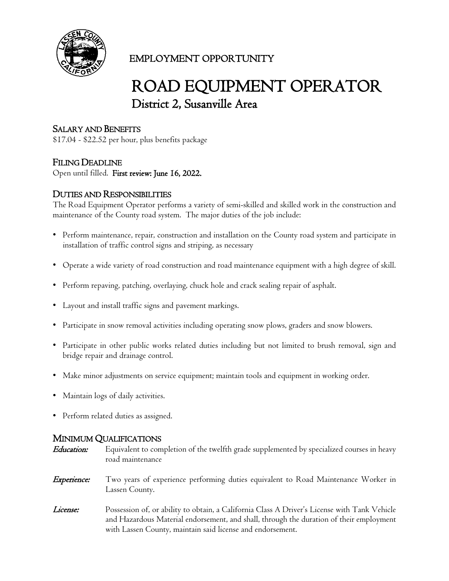

# EMPLOYMENT OPPORTUNITY

# ROAD EQUIPMENT OPERATOR District 2, Susanville Area

# SALARY AND BENEFITS

\$17.04 - \$22.52 per hour, plus benefits package

### FILING DEADLINE

Open until filled. First review: June 16, 2022.

#### DUTIES AND RESPONSIBILITIES

The Road Equipment Operator performs a variety of semi-skilled and skilled work in the construction and maintenance of the County road system. The major duties of the job include:

- Perform maintenance, repair, construction and installation on the County road system and participate in installation of traffic control signs and striping, as necessary
- Operate a wide variety of road construction and road maintenance equipment with a high degree of skill.
- Perform repaving, patching, overlaying, chuck hole and crack sealing repair of asphalt.
- Layout and install traffic signs and pavement markings.
- Participate in snow removal activities including operating snow plows, graders and snow blowers.
- Participate in other public works related duties including but not limited to brush removal, sign and bridge repair and drainage control.
- Make minor adjustments on service equipment; maintain tools and equipment in working order.
- Maintain logs of daily activities.
- Perform related duties as assigned.

#### MINIMUM QUALIFICATIONS